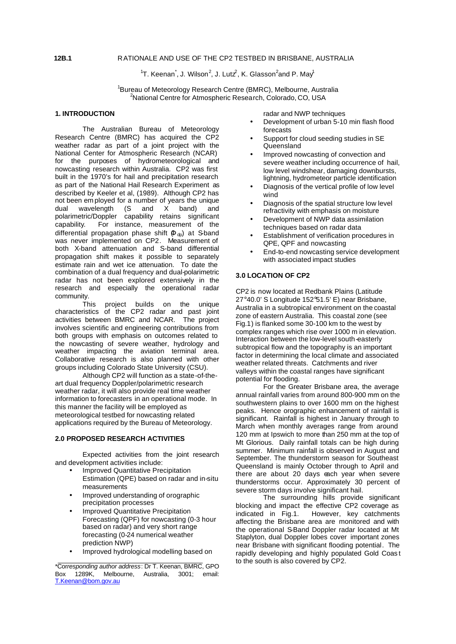### **12B.1** RATIONALE AND USE OF THE CP2 TESTBED IN BRISBANE, AUSTRALIA

 $\rm ^1$ T. Keenan $\rm ^\star$ , J. Wilson $\rm ^2$ , J. Lut $\rm \mathcal{Z},$  K. Glasson $\rm ^2$ and P. May $\rm ^1$ 

<sup>1</sup>Bureau of Meteorology Research Centre (BMRC), Melbourne, Australia <sup>2</sup>National Centre for Atmospheric Research, Colorado, CO, USA

### **1. INTRODUCTION**

The Australian Bureau of Meteorology Research Centre (BMRC) has acquired the CP2 weather radar as part of a joint project with the National Center for Atmospheric Research (NCAR) for the purposes of hydrometeorological and nowcasting research within Australia. CP2 was first built in the 1970's for hail and precipitation research as part of the National Hail Research Experiment as described by Keeler et al, (1989). Although CP2 has not been em ployed for a number of years the unique dual wavelength (S and X band) and polarimetric/Doppler capability retains significant capability. For instance, measurement of the differential propagation phase shift  $(\Phi_{dp})$  at S-band was never implemented on CP2. Measurement of both X-band attenuation and S-band differential propagation shift makes it possible to separately estimate rain and wet ice attenuation. To date the combination of a dual frequency and dual-polarimetric radar has not been explored extensively in the research and especially the operational radar community.

This project builds on the unique characteristics of the CP2 radar and past joint activities between BMRC and NCAR. The project involves scientific and engineering contributions from both groups with emphasis on outcomes related to the nowcasting of severe weather, hydrology and weather impacting the aviation terminal area. Collaborative research is also planned with other groups including Colorado State University (CSU).

Although CP2 will function as a state-of-theart dual frequency Doppler/polarimetric research weather radar, it will also provide real time weather information to forecasters in an operational mode. In this manner the facility will be employed as meteorological testbed for nowcasting related applications required by the Bureau of Meteorology.

## **2.0 PROPOSED RESEARCH ACTIVITIES**

Expected activities from the joint research and development activities include:

- Improved Quantitative Precipitation
- Estimation (QPE) based on radar and in-situ measurements
- Improved understanding of orographic precipitation processes
- Improved Quantitative Precipitation Forecasting (QPF) for nowcasting (0-3 hour based on radar) and very short range forecasting (0-24 numerical weather prediction NWP)
- Improved hydrological modelling based on

radar and NWP techniques

- Development of urban 5-10 min flash flood forecasts
- Support for cloud seeding studies in SE Queensland
- Improved nowcasting of convection and severe weather including occurrence of hail, low level windshear, damaging downbursts, lightning, hydrometeor particle identification
- Diagnosis of the vertical profile of low level wind
- Diagnosis of the spatial structure low level refractivity with emphasis on moisture
- Development of NWP data assimilation techniques based on radar data
- Establishment of verification procedures in QPE, QPF and nowcasting
- End-to-end nowcasting service development with associated impact studies

# **3.0 LOCATION OF CP2**

CP2 is now located at Redbank Plains (Latitude 27°40.0' S Longitude 152°51.5' E) near Brisbane, Australia in a subtropical environment on the coastal zone of eastern Australia. This coastal zone (see Fig.1) is flanked some 30-100 km to the west by complex ranges which rise over 1000 m in elevation. Interaction between the low-level south-easterly subtropical flow and the topography is an important factor in determining the local climate and associated weather related threats. Catchments and river valleys within the coastal ranges have significant potential for flooding.

For the Greater Brisbane area, the average annual rainfall varies from around 800-900 mm on the southwestern plains to over 1600 mm on the highest peaks. Hence orographic enhancement of rainfall is significant. Rainfall is highest in January through to March when monthly averages range from around 120 mm at Ipswich to more than 250 mm at the top of Mt Glorious. Daily rainfall totals can be high during summer. Minimum rainfall is observed in August and September. The thunderstorm season for Southeast Queensland is mainly October through to April and there are about 20 days each year when severe thunderstorms occur. Approximately 30 percent of severe storm days involve significant hail.

The surrounding hills provide significant blocking and impact the effective CP2 coverage as<br>indicated in Fig.1. However, key catchments However, key catchments affecting the Brisbane area are monitored and with the operational S-Band Doppler radar located at Mt Staplyton, dual Doppler lobes cover important zones near Brisbane with significant flooding potential. The rapidly developing and highly populated Gold Coas t to the south is also covered by CP2.

<sup>\*</sup>Cor*responding author address*: Dr T. Keenan, BMRC, GPO Box 1289K, Melbourne, Australia, 3001; email: T.Keenan@bom.gov.au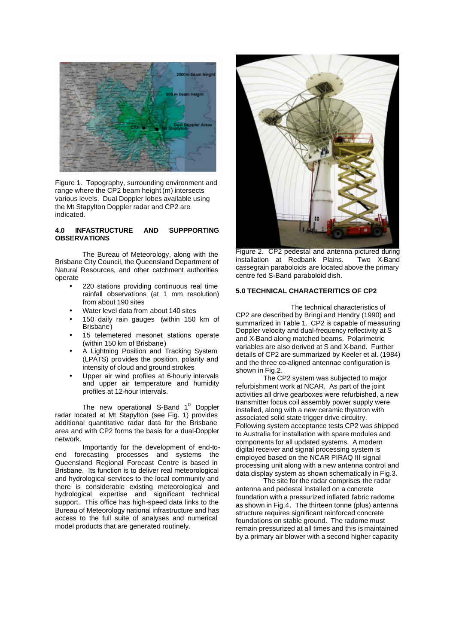

Figure 1. Topography, surrounding environment and range where the CP2 beam height (m) intersects various levels. Dual Doppler lobes available using the Mt Stapylton Doppler radar and CP2 are indicated.

#### **4.0 INFASTRUCTURE AND SUPPPORTING OBSERVATIONS**

The Bureau of Meteorology, along with the Brisbane City Council, the Queensland Department of Natural Resources, and other catchment authorities operate

- 220 stations providing continuous real time rainfall observations (at 1 mm resolution) from about 190 sites
- Water level data from about 140 sites
- 150 daily rain gauges (within 150 km of Brisbane)
- 15 telemetered mesonet stations operate (within 150 km of Brisbane)
- A Lightning Position and Tracking System (LPATS) provides the position, polarity and intensity of cloud and ground strokes
- Upper air wind profiles at 6-hourly intervals and upper air temperature and humidity profiles at 12-hour intervals.

The new operational S-Band 1<sup>0</sup> Doppler radar located at Mt Stapylton (see Fig. 1) provides additional quantitative radar data for the Brisbane area and with CP2 forms the basis for a dual-Doppler network.

Importantly for the development of end-toend forecasting processes and systems the Queensland Regional Forecast Centre is based in Brisbane. Its function is to deliver real meteorological and hydrological services to the local community and there is considerable existing meteorological and hydrological expertise and significant technical support. This office has high-speed data links to the Bureau of Meteorology national infrastructure and has access to the full suite of analyses and numerical model products that are generated routinely.



Figure 2. CP2 pedestal and antenna pictured during<br>installation at Redbank Plains. Two X-Band installation at Redbank Plains. cassegrain paraboloids are located above the primary centre fed S-Band paraboloid dish.

### **5.0 TECHNICAL CHARACTERITICS OF CP2**

The technical characteristics of CP2 are described by Bringi and Hendry (1990) and summarized in Table 1. CP2 is capable of measuring Doppler velocity and dual-frequency reflectivity at S and X-Band along matched beams. Polarimetric variables are also derived at S and X-band. Further details of CP2 are summarized by Keeler et al. (1984) and the three co-aligned antennae configuration is shown in Fig.2.

The CP2 system was subjected to major refurbishment work at NCAR. As part of the joint activities all drive gearboxes were refurbished, a new transmitter focus coil assembly power supply were installed, along with a new ceramic thyatron with associated solid state trigger drive circuitry. Following system acceptance tests CP2 was shipped to Australia for installation with spare modules and components for all updated systems. A modern digital receiver and signal processing system is employed based on the NCAR PIRAQ III signal processing unit along with a new antenna control and data display system as shown schematically in Fig.3.

The site for the radar comprises the radar antenna and pedestal installed on a concrete foundation with a pressurized inflated fabric radome as shown in Fig.4. The thirteen tonne (plus) antenna structure requires significant reinforced concrete foundations on stable ground. The radome must remain pressurized at all times and this is maintained by a primary air blower with a second higher capacity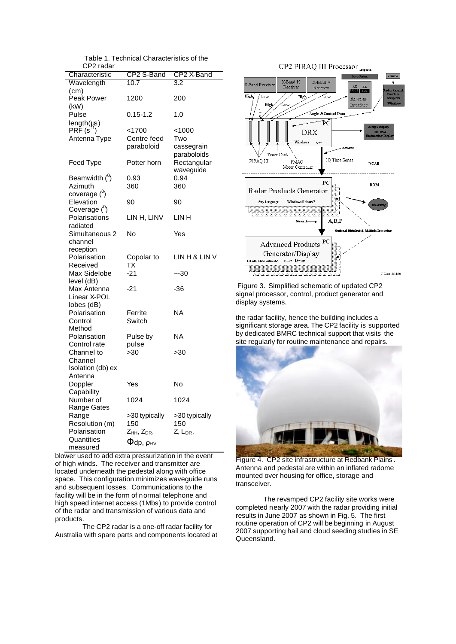Table 1. Technical Characteristics of the CP2 radar

| UI 4 IQUAI                   |                                   |                      |
|------------------------------|-----------------------------------|----------------------|
| Characteristic               | CP2 S-Band                        | CP2 X-Band           |
| Wavelength                   | 10.7                              | 3.2                  |
| (cm)<br>Peak Power           | 1200                              | 200                  |
| (kW)                         |                                   |                      |
| Pulse                        | $0.15 - 1.2$                      | 1.0                  |
| length(µs)                   |                                   |                      |
| $PR\tilde{F}(s^2)$           | $<$ 1700                          | <1000                |
| Antenna Type                 | Centre feed                       | Two                  |
|                              | paraboloid                        | cassegrain           |
|                              |                                   | paraboloids          |
| Feed Type                    | Potter horn                       | Rectangular          |
|                              |                                   | waveguide            |
| Beamwidth $(^\circ)$         | 0.93                              | 0.94                 |
| Azimuth                      | 360                               | 360                  |
| coverage ( <sup>0</sup> )    |                                   |                      |
| Elevation                    | 90                                | 90                   |
| Coverage ( <sup>0</sup> )    |                                   |                      |
| Polarisations                | LIN H, LINV                       | LIN H                |
| radiated                     |                                   |                      |
| Simultaneous 2               | No                                | Yes                  |
| channel                      |                                   |                      |
| reception                    |                                   |                      |
| Polarisation                 | Copolar to                        | LIN H & LIN V        |
| Received                     | <b>TX</b>                         |                      |
| Max Sidelobe                 | $-21$                             | $-30$                |
| level (dB)                   |                                   |                      |
| Max Antenna                  | $-21$                             | -36                  |
| Linear X-POL                 |                                   |                      |
| lobes (dB)                   |                                   |                      |
| Polarisation                 | Ferrite                           | ΝA                   |
| Control                      | Switch                            |                      |
| Method                       |                                   | ΝA                   |
| Polarisation                 | Pulse by                          |                      |
| Control rate                 | pulse<br>>30                      |                      |
| Channel to                   |                                   | >30                  |
| Channel                      |                                   |                      |
| Isolation (db) ex<br>Antenna |                                   |                      |
|                              | Yes                               | No                   |
| Doppler<br>Capability        |                                   |                      |
| Number of                    | 1024                              | 1024                 |
| Range Gates                  |                                   |                      |
| Range                        | >30 typically                     | >30 typically        |
| Resolution (m)               | 150                               | 150                  |
| Polarisation                 | Z <sub>нн,</sub> Z <sub>DR,</sub> | Z, L <sub>DR</sub> , |
| Quantities                   |                                   |                      |
| measured                     | $\Phi$ dp, $\rho_{\rm HV}$        |                      |

blower used to add extra pressurization in the event of high winds. The receiver and transmitter are located underneath the pedestal along with office space. This configuration minimizes waveguide runs and subsequent losses. Communications to the facility will be in the form of normal telephone and high speed internet access (1Mbs) to provide control of the radar and transmission of various data and products.

The CP2 radar is a one-off radar facility for Australia with spare parts and components located at



Figure 3. Simplified schematic of updated CP2 signal processor, control, product generator and display systems.

the radar facility, hence the building includes a significant storage area. The CP2 facility is supported by dedicated BMRC technical support that visits the site regularly for routine maintenance and repairs.



Figure 4. CP2 site infrastructure at Redbank Plains . Antenna and pedestal are within an inflated radome mounted over housing for office, storage and transceiver.

The revamped CP2 facility site works were completed nearly 2007 with the radar providing initial results in June 2007 as shown in Fig. 5. The first routine operation of CP2 will be beginning in August 2007 supporting hail and cloud seeding studies in SE Queensland.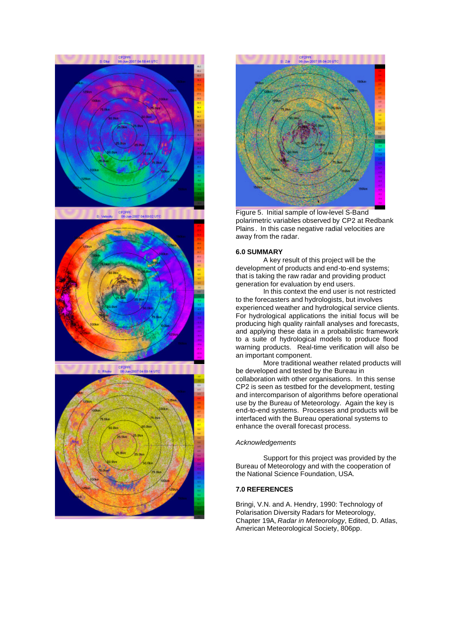





Figure 5. Initial sample of low-level S-Band polarimetric variables observed by CP2 at Redbank Plains . In this case negative radial velocities are away from the radar.

### **6.0 SUMMARY**

A key result of this project will be the development of products and end-to-end systems; that is taking the raw radar and providing product generation for evaluation by end users.

In this context the end user is not restricted to the forecasters and hydrologists, but involves experienced weather and hydrological service clients. For hydrological applications the initial focus will be producing high quality rainfall analyses and forecasts, and applying these data in a probabilistic framework to a suite of hydrological models to produce flood warning products. Real-time verification will also be an important component.

More traditional weather related products will be developed and tested by the Bureau in collaboration with other organisations. In this sense CP2 is seen as testbed for the development, testing and intercomparison of algorithms before operational use by the Bureau of Meteorology. Again the key is end-to-end systems. Processes and products will be interfaced with the Bureau operational systems to enhance the overall forecast process.

#### *Acknowledgements*

Support for this project was provided by the Bureau of Meteorology and with the cooperation of the National Science Foundation, USA.

#### **7.0 REFERENCES**

Bringi, V.N. and A. Hendry, 1990: Technology of Polarisation Diversity Radars for Meteorology, Chapter 19A, *Radar in Meteorology*, Edited, D. Atlas, American Meteorological Society, 806pp.